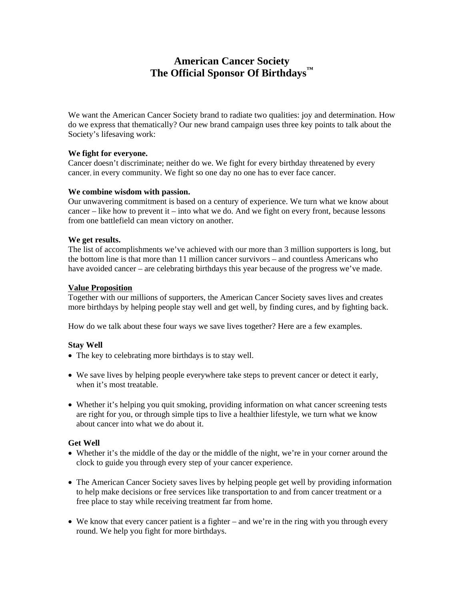# **American Cancer Society The Official Sponsor Of Birthdays™**

We want the American Cancer Society brand to radiate two qualities: joy and determination. How do we express that thematically? Our new brand campaign uses three key points to talk about the Society's lifesaving work:

#### **We fight for everyone.**

Cancer doesn't discriminate; neither do we. We fight for every birthday threatened by every cancer, in every community. We fight so one day no one has to ever face cancer.

#### **We combine wisdom with passion.**

Our unwavering commitment is based on a century of experience. We turn what we know about cancer – like how to prevent it – into what we do. And we fight on every front, because lessons from one battlefield can mean victory on another.

#### **We get results.**

The list of accomplishments we've achieved with our more than 3 million supporters is long, but the bottom line is that more than 11 million cancer survivors – and countless Americans who have avoided cancer – are celebrating birthdays this year because of the progress we've made.

#### **Value Proposition**

Together with our millions of supporters, the American Cancer Society saves lives and creates more birthdays by helping people stay well and get well, by finding cures, and by fighting back.

How do we talk about these four ways we save lives together? Here are a few examples.

## **Stay Well**

- The key to celebrating more birthdays is to stay well.
- We save lives by helping people everywhere take steps to prevent cancer or detect it early, when it's most treatable.
- Whether it's helping you quit smoking, providing information on what cancer screening tests are right for you, or through simple tips to live a healthier lifestyle, we turn what we know about cancer into what we do about it.

## **Get Well**

- Whether it's the middle of the day or the middle of the night, we're in your corner around the clock to guide you through every step of your cancer experience.
- The American Cancer Society saves lives by helping people get well by providing information to help make decisions or free services like transportation to and from cancer treatment or a free place to stay while receiving treatment far from home.
- We know that every cancer patient is a fighter and we're in the ring with you through every round. We help you fight for more birthdays.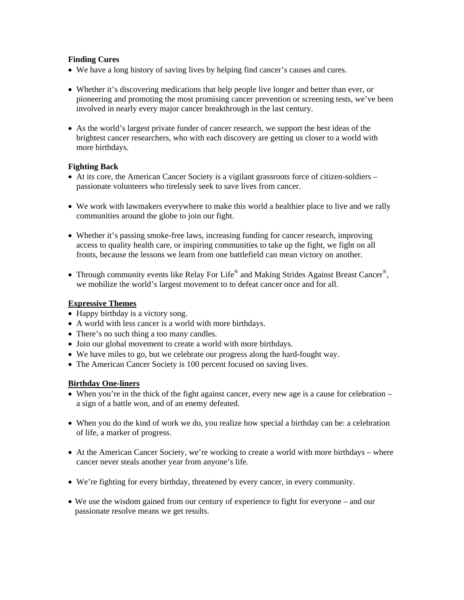## **Finding Cures**

- We have a long history of saving lives by helping find cancer's causes and cures.
- Whether it's discovering medications that help people live longer and better than ever, or pioneering and promoting the most promising cancer prevention or screening tests, we've been involved in nearly every major cancer breakthrough in the last century.
- As the world's largest private funder of cancer research, we support the best ideas of the brightest cancer researchers, who with each discovery are getting us closer to a world with more birthdays.

## **Fighting Back**

- At its core, the American Cancer Society is a vigilant grassroots force of citizen-soldiers passionate volunteers who tirelessly seek to save lives from cancer.
- We work with lawmakers everywhere to make this world a healthier place to live and we rally communities around the globe to join our fight.
- Whether it's passing smoke-free laws, increasing funding for cancer research, improving access to quality health care, or inspiring communities to take up the fight, we fight on all fronts, because the lessons we learn from one battlefield can mean victory on another.
- Through community events like Relay For Life® and Making Strides Against Breast Cancer®, we mobilize the world's largest movement to to defeat cancer once and for all.

## **Expressive Themes**

- Happy birthday is a victory song.
- A world with less cancer is a world with more birthdays.
- There's no such thing a too many candles.
- Join our global movement to create a world with more birthdays.
- We have miles to go, but we celebrate our progress along the hard-fought way.
- The American Cancer Society is 100 percent focused on saving lives.

## **Birthday One-liners**

- When you're in the thick of the fight against cancer, every new age is a cause for celebration a sign of a battle won, and of an enemy defeated.
- When you do the kind of work we do, you realize how special a birthday can be: a celebration of life, a marker of progress.
- At the American Cancer Society, we're working to create a world with more birthdays where cancer never steals another year from anyone's life.
- We're fighting for every birthday, threatened by every cancer, in every community.
- We use the wisdom gained from our century of experience to fight for everyone and our passionate resolve means we get results.